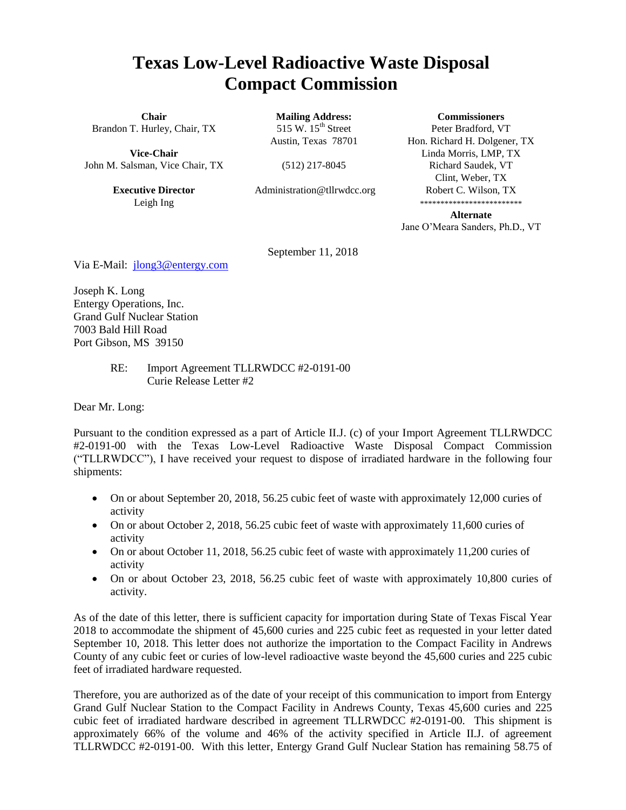## **Texas Low-Level Radioactive Waste Disposal Compact Commission**

**Chair** Brandon T. Hurley, Chair, TX

**Vice-Chair** John M. Salsman, Vice Chair, TX

> **Executive Director** Leigh Ing

**Mailing Address:** 515 W.  $15<sup>th</sup>$  Street Austin, Texas 78701

(512) 217-8045

Administration@tllrwdcc.org

**Commissioners**

Peter Bradford, VT Hon. Richard H. Dolgener, TX Linda Morris, LMP, TX Richard Saudek, VT Clint, Weber, TX Robert C. Wilson, TX \*\*\*\*\*\*\*\*\*\*\*\*\*\*\*\*\*\*\*\*\*\*\*\*\*

**Alternate** Jane O'Meara Sanders, Ph.D., VT

September 11, 2018

Via E-Mail: [jlong3@entergy.com](mailto:jlong3@entergy.com)

Joseph K. Long Entergy Operations, Inc. Grand Gulf Nuclear Station 7003 Bald Hill Road Port Gibson, MS 39150

## RE: Import Agreement TLLRWDCC #2-0191-00 Curie Release Letter #2

Dear Mr. Long:

Pursuant to the condition expressed as a part of Article II.J. (c) of your Import Agreement TLLRWDCC #2-0191-00 with the Texas Low-Level Radioactive Waste Disposal Compact Commission ("TLLRWDCC"), I have received your request to dispose of irradiated hardware in the following four shipments:

- On or about September 20, 2018, 56.25 cubic feet of waste with approximately 12,000 curies of activity
- On or about October 2, 2018, 56.25 cubic feet of waste with approximately 11,600 curies of activity
- On or about October 11, 2018, 56.25 cubic feet of waste with approximately 11,200 curies of activity
- On or about October 23, 2018, 56.25 cubic feet of waste with approximately 10,800 curies of activity.

As of the date of this letter, there is sufficient capacity for importation during State of Texas Fiscal Year 2018 to accommodate the shipment of 45,600 curies and 225 cubic feet as requested in your letter dated September 10, 2018. This letter does not authorize the importation to the Compact Facility in Andrews County of any cubic feet or curies of low-level radioactive waste beyond the 45,600 curies and 225 cubic feet of irradiated hardware requested.

Therefore, you are authorized as of the date of your receipt of this communication to import from Entergy Grand Gulf Nuclear Station to the Compact Facility in Andrews County, Texas 45,600 curies and 225 cubic feet of irradiated hardware described in agreement TLLRWDCC #2-0191-00. This shipment is approximately 66% of the volume and 46% of the activity specified in Article II.J. of agreement TLLRWDCC #2-0191-00. With this letter, Entergy Grand Gulf Nuclear Station has remaining 58.75 of